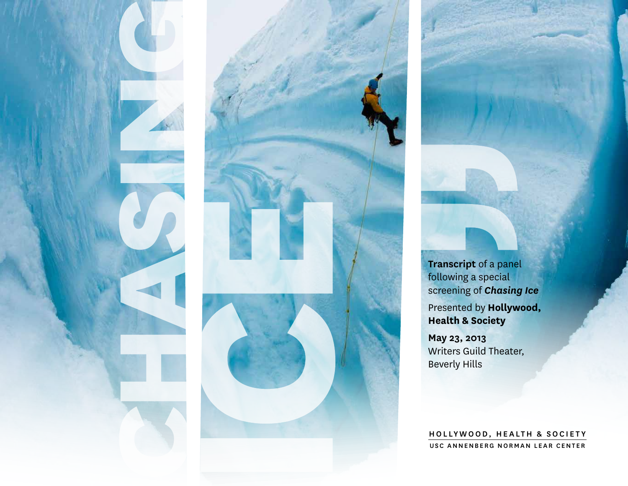



**Transcript** of a panel following a special screening of *Chasing Ice* Presented by **Hollywood, Health & Society**

**May 23, 2013** Writers Guild Theater, Beverly Hills

HOLLYWOOD, HEALTH & SOCIETY USC ANNENBERG NORMAN LEAR CENTER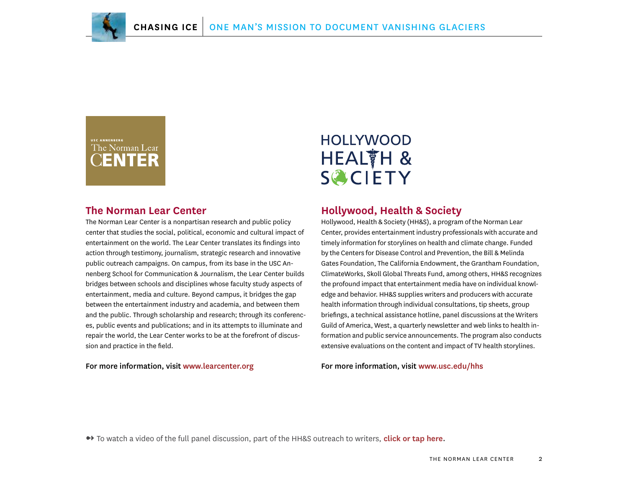

### USC ANNENBERG The Norman Lear

#### **The Norman Lear Center**

The Norman Lear Center is a nonpartisan research and public policy center that studies the social, political, economic and cultural impact of entertainment on the world. The Lear Center translates its findings into action through testimony, journalism, strategic research and innovative public outreach campaigns. On campus, from its base in the USC Annenberg School for Communication & Journalism, the Lear Center builds bridges between schools and disciplines whose faculty study aspects of entertainment, media and culture. Beyond campus, it bridges the gap between the entertainment industry and academia, and between them and the public. Through scholarship and research; through its conferences, public events and publications; and in its attempts to illuminate and repair the world, the Lear Center works to be at the forefront of discussion and practice in the field.

For more information, visit [www.learcenter.org](http://www.learcenter.org)

### **HOLLYWOOD** HEALTH & **SCIETY**

#### **Hollywood, Health & Society**

Hollywood, Health & Society (HH&S), a program of the Norman Lear Center, provides entertainment industry professionals with accurate and timely information for storylines on health and climate change. Funded by the Centers for Disease Control and Prevention, the Bill & Melinda Gates Foundation, The California Endowment, the Grantham Foundation, ClimateWorks, Skoll Global Threats Fund, among others, HH&S recognizes the profound impact that entertainment media have on individual knowledge and behavior. HH&S supplies writers and producers with accurate health information through individual consultations, tip sheets, group briefings, a technical assistance hotline, panel discussions at the Writers Guild of America, West, a quarterly newsletter and web links to health information and public service announcements. The program also conducts extensive evaluations on the content and impact of TV health storylines.

For more information, visit [www.usc.edu/hhs](http://www.usc.edu/hhs)

➻ To watch a video of the full panel discussion, part of the HH&S outreach to writers, **[click or tap here.](http://www.youtube.com/watch?v=3b7L3FlmgJI&list=PLAbYTqOG8L-vVc1z5NcCOFM3QfENTTfoE&index=7)**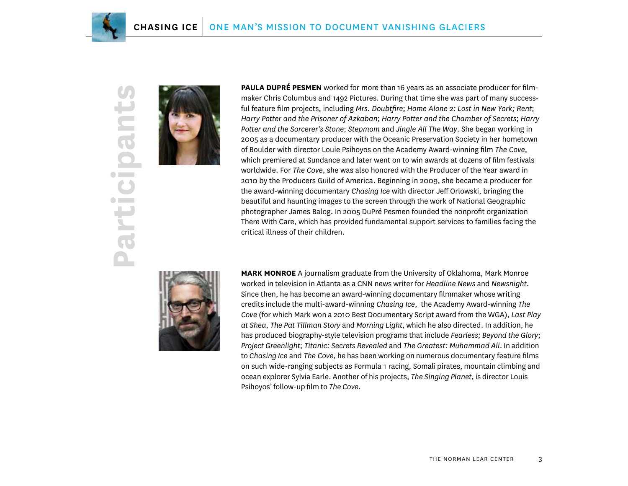

## **Participants**  $U_{\mathcal{R}}$ **GIN**  $\bullet$  $\bullet$  and  $\bullet$  $\bullet$  $\bullet$  Fig. **Part**



**PAULA DUPRÉ PESMEN** worked for more than 16 years as an associate producer for filmmaker Chris Columbus and 1492 Pictures. During that time she was part of many successful feature film projects, including *Mrs. Doubtfire*; *Home Alone 2: Lost in New York; Rent*; *Harry Potter and the Prisoner of Azkaban*; *Harry Potter and the Chamber of Secrets*; *Harry Potter and the Sorcerer's Stone*; *Stepmom* and *Jingle All The Way*. She began working in 2005 as a documentary producer with the Oceanic Preservation Society in her hometown of Boulder with director Louie Psihoyos on the Academy Award-winning film *The Cove*, which premiered at Sundance and later went on to win awards at dozens of film festivals worldwide. For *The Cove*, she was also honored with the Producer of the Year award in 2010 by the Producers Guild of America. Beginning in 2009, she became a producer for the award-winning documentary *Chasing Ice* with director Jeff Orlowski, bringing the beautiful and haunting images to the screen through the work of National Geographic photographer James Balog. In 2005 DuPré Pesmen founded the nonprofit organization There With Care, which has provided fundamental support services to families facing the critical illness of their children.



**MARK MONROE** A journalism graduate from the University of Oklahoma, Mark Monroe worked in television in Atlanta as a CNN news writer for *Headline News* and *Newsnight*. Since then, he has become an award-winning documentary filmmaker whose writing credits include the multi-award-winning *Chasing Ice*, the Academy Award-winning *The Cove* (for which Mark won a 2010 Best Documentary Script award from the WGA), *Last Play at Shea*, *The Pat Tillman Story* and *Morning Light*, which he also directed. In addition, he has produced biography-style television programs that include *Fearless; Beyond the Glory*; *Project Greenlight*; *Titanic: Secrets Revealed* and *The Greatest: Muhammad Ali*. In addition to *Chasing Ice* and *The Cove*, he has been working on numerous documentary feature films on such wide-ranging subjects as Formula 1 racing, Somali pirates, mountain climbing and ocean explorer Sylvia Earle. Another of his projects, *The Singing Planet*, is director Louis Psihoyos' follow-up film to *The Cove*.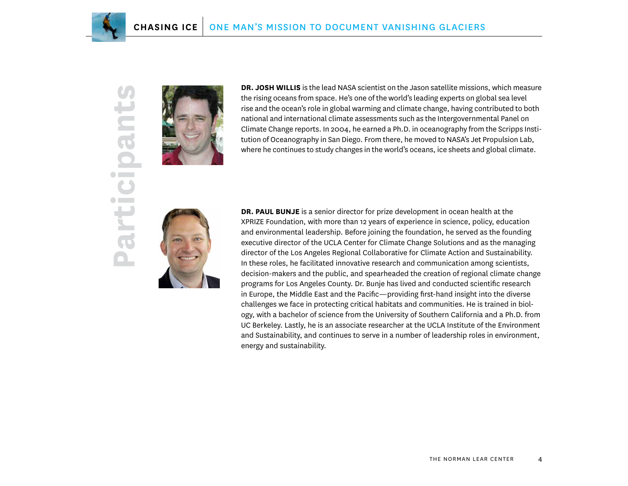

# **SA Participants** Dan  $\bullet$  and  $\bullet$  $\bullet$  $\bullet$  1000 **Parti**



**DR. JOSH WILLIS** is the lead NASA scientist on the Jason satellite missions, which measure the rising oceans from space. He's one of the world's leading experts on global sea level rise and the ocean's role in global warming and climate change, having contributed to both national and international climate assessments such as the Intergovernmental Panel on Climate Change reports. In 2004, he earned a Ph.D. in oceanography from the Scripps Institution of Oceanography in San Diego. From there, he moved to NASA's Jet Propulsion Lab, where he continues to study changes in the world's oceans, ice sheets and global climate.



**DR. PAUL BUNJE** is a senior director for prize development in ocean health at the XPRIZE Foundation, with more than 12 years of experience in science, policy, education and environmental leadership. Before joining the foundation, he served as the founding executive director of the UCLA Center for Climate Change Solutions and as the managing director of the Los Angeles Regional Collaborative for Climate Action and Sustainability. In these roles, he facilitated innovative research and communication among scientists, decision-makers and the public, and spearheaded the creation of regional climate change programs for Los Angeles County. Dr. Bunje has lived and conducted scientific research in Europe, the Middle East and the Pacific—providing first-hand insight into the diverse challenges we face in protecting critical habitats and communities. He is trained in biology, with a bachelor of science from the University of Southern California and a Ph.D. from UC Berkeley. Lastly, he is an associate researcher at the UCLA Institute of the Environment and Sustainability, and continues to serve in a number of leadership roles in environment, energy and sustainability.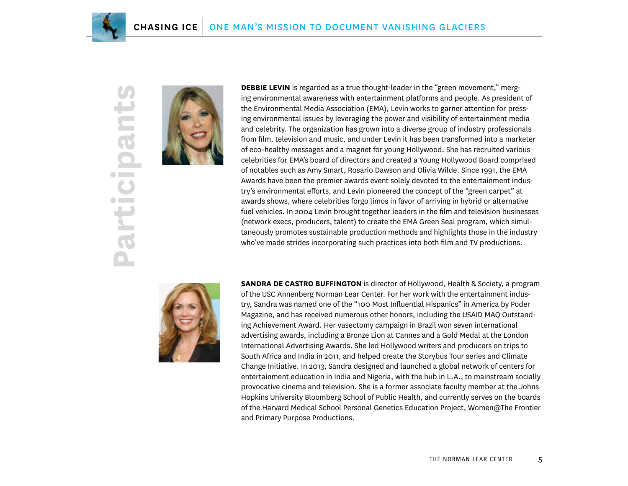

# $\mathbf{C}$ **Participants** Dan  $\bullet$   $\Box$  $\bullet$  $\bullet$  1  $\rightarrow$ **Part**



**DEBBIE LEVIN** is regarded as a true thought-leader in the "green movement," merging environmental awareness with entertainment platforms and people. As president of the Environmental Media Association (EMA), Levin works to garner attention for pressing environmental issues by leveraging the power and visibility of entertainment media and celebrity. The organization has grown into a diverse group of industry professionals from film, television and music, and under Levin it has been transformed into a marketer of eco-healthy messages and a magnet for young Hollywood. She has recruited various celebrities for EMA's board of directors and created a Young Hollywood Board comprised of notables such as Amy Smart, Rosario Dawson and Olivia Wilde. Since 1991, the EMA Awards have been the premier awards event solely devoted to the entertainment industry's environmental efforts, and Levin pioneered the concept of the "green carpet" at awards shows, where celebrities forgo limos in favor of arriving in hybrid or alternative fuel vehicles. In 2004 Levin brought together leaders in the film and television businesses (network execs, producers, talent) to create the EMA Green Seal program, which simultaneously promotes sustainable production methods and highlights those in the industry who've made strides incorporating such practices into both film and TV productions.



**SANDRA DE CASTRO BUFFINGTON** is director of Hollywood, Health & Society, a program of the USC Annenberg Norman Lear Center. For her work with the entertainment industry, Sandra was named one of the "100 Most Influential Hispanics" in America by Poder Magazine, and has received numerous other honors, including the USAID MAQ Outstanding Achievement Award. Her vasectomy campaign in Brazil won seven international advertising awards, including a Bronze Lion at Cannes and a Gold Medal at the London International Advertising Awards. She led Hollywood writers and producers on trips to South Africa and India in 2011, and helped create the Storybus Tour series and Climate Change Initiative. In 2013, Sandra designed and launched a global network of centers for entertainment education in India and Nigeria, with the hub in L.A., to mainstream socially provocative cinema and television. She is a former associate faculty member at the Johns Hopkins University Bloomberg School of Public Health, and currently serves on the boards of the Harvard Medical School Personal Genetics Education Project, Women@The Frontier and Primary Purpose Productions.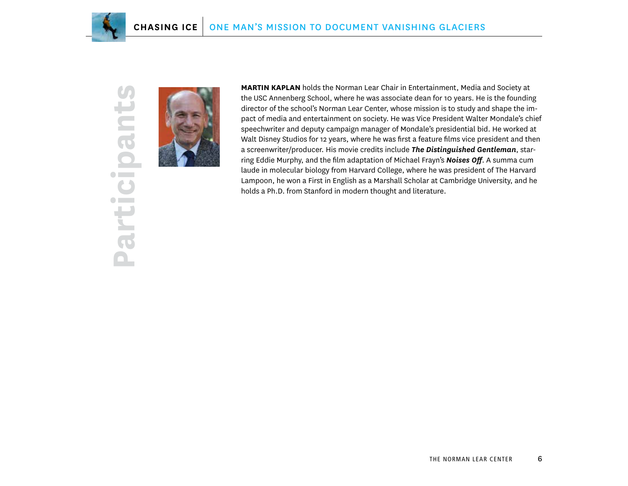

# U **Participants**an  $\bullet$  $\bullet$  and  $\bullet$  $\bullet$  $\bullet$  H  $\rightarrow$ Parti



**MARTIN KAPLAN** holds the Norman Lear Chair in Entertainment, Media and Society at the USC Annenberg School, where he was associate dean for 10 years. He is the founding director of the school's Norman Lear Center, whose mission is to study and shape the impact of media and entertainment on society. He was Vice President Walter Mondale's chief speechwriter and deputy campaign manager of Mondale's presidential bid. He worked at Walt Disney Studios for 12 years, where he was first a feature films vice president and then a screenwriter/producer. His movie credits include *The Distinguished Gentleman*, starring Eddie Murphy, and the film adaptation of Michael Frayn's *Noises Off*. A summa cum laude in molecular biology from Harvard College, where he was president of The Harvard Lampoon, he won a First in English as a Marshall Scholar at Cambridge University, and he holds a Ph.D. from Stanford in modern thought and literature.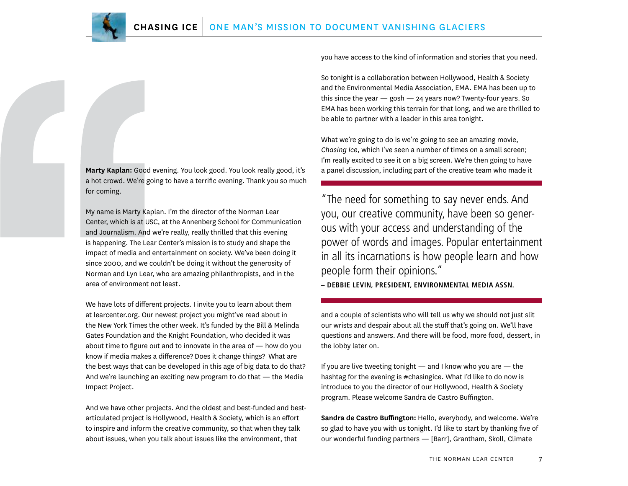**Marty Kaplan:** Good evening. You look good. You look really good, it's a hot crowd. We're going to have a terrific evening. Thank you so much for coming.

My name is Marty Kaplan. I'm the director of the Norman Lear Center, which is at USC, at the Annenberg School for Communication and Journalism. And we're really, really thrilled that this evening is happening. The Lear Center's mission is to study and shape the impact of media and entertainment on society. We've been doing it since 2000, and we couldn't be doing it without the generosity of Norman and Lyn Lear, who are amazing philanthropists, and in the area of environment not least.

We have lots of different projects. I invite you to learn about them at learcenter.org. Our newest project you might've read about in the New York Times the other week. It's funded by the Bill & Melinda Gates Foundation and the Knight Foundation, who decided it was about time to figure out and to innovate in the area of — how do you know if media makes a difference? Does it change things? What are the best ways that can be developed in this age of big data to do that? And we're launching an exciting new program to do that — the Media Impact Project.

And we have other projects. And the oldest and best-funded and bestarticulated project is Hollywood, Health & Society, which is an effort to inspire and inform the creative community, so that when they talk about issues, when you talk about issues like the environment, that

you have access to the kind of information and stories that you need.

So tonight is a collaboration between Hollywood, Health & Society and the Environmental Media Association, EMA. EMA has been up to this since the year  $-$  gosh  $-$  24 years now? Twenty-four years. So EMA has been working this terrain for that long, and we are thrilled to be able to partner with a leader in this area tonight.

What we're going to do is we're going to see an amazing movie, *Chasing Ice*, which I've seen a number of times on a small screen; I'm really excited to see it on a big screen. We're then going to have a panel discussion, including part of the creative team who made it

"The need for something to say never ends. And you, our creative community, have been so generous with your access and understanding of the power of words and images. Popular entertainment in all its incarnations is how people learn and how people form their opinions."

**– DEBBIE LEVIN, PRESIDENT, ENVIRONMENTAL MEDIA ASSN.**

and a couple of scientists who will tell us why we should not just slit our wrists and despair about all the stuff that's going on. We'll have questions and answers. And there will be food, more food, dessert, in the lobby later on.

If you are live tweeting tonight — and I know who you are — the hashtag for the evening is #chasingice. What I'd like to do now is introduce to you the director of our Hollywood, Health & Society program. Please welcome Sandra de Castro Buffington.

**Sandra de Castro Buffington:** Hello, everybody, and welcome. We're so glad to have you with us tonight. I'd like to start by thanking five of our wonderful funding partners — [Barr], Grantham, Skoll, Climate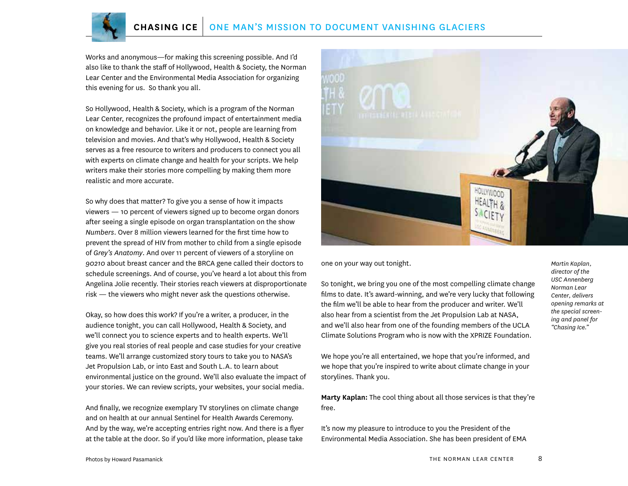Works and anonymous—for making this screening possible. And I'd also like to thank the staff of Hollywood, Health & Society, the Norman Lear Center and the Environmental Media Association for organizing this evening for us. So thank you all.

So Hollywood, Health & Society, which is a program of the Norman Lear Center, recognizes the profound impact of entertainment media on knowledge and behavior. Like it or not, people are learning from television and movies. And that's why Hollywood, Health & Society serves as a free resource to writers and producers to connect you all with experts on climate change and health for your scripts. We help writers make their stories more compelling by making them more realistic and more accurate.

So why does that matter? To give you a sense of how it impacts viewers — 10 percent of viewers signed up to become organ donors after seeing a single episode on organ transplantation on the show *Numbers*. Over 8 million viewers learned for the first time how to prevent the spread of HIV from mother to child from a single episode of *Grey's Anatomy*. And over 11 percent of viewers of a storyline on *90210* about breast cancer and the BRCA gene called their doctors to schedule screenings. And of course, you've heard a lot about this from Angelina Jolie recently. Their stories reach viewers at disproportionate risk — the viewers who might never ask the questions otherwise.

Okay, so how does this work? If you're a writer, a producer, in the audience tonight, you can call Hollywood, Health & Society, and we'll connect you to science experts and to health experts. We'll give you real stories of real people and case studies for your creative teams. We'll arrange customized story tours to take you to NASA's Jet Propulsion Lab, or into East and South L.A. to learn about environmental justice on the ground. We'll also evaluate the impact of your stories. We can review scripts, your websites, your social media.

And finally, we recognize exemplary TV storylines on climate change and on health at our annual Sentinel for Health Awards Ceremony. And by the way, we're accepting entries right now. And there is a flyer at the table at the door. So if you'd like more information, please take



one on your way out tonight.

So tonight, we bring you one of the most compelling climate change films to date. It's award-winning, and we're very lucky that following the film we'll be able to hear from the producer and writer. We'll also hear from a scientist from the Jet Propulsion Lab at NASA, and we'll also hear from one of the founding members of the UCLA Climate Solutions Program who is now with the XPRIZE Foundation.

We hope you're all entertained, we hope that you're informed, and we hope that you're inspired to write about climate change in your storylines. Thank you.

**Marty Kaplan:** The cool thing about all those services is that they're free.

It's now my pleasure to introduce to you the President of the Environmental Media Association. She has been president of EMA *Martin Kaplan, director of the USC Annenberg Norman Lear Center, delivers opening remarks at the special screening and panel for "Chasing Ice."*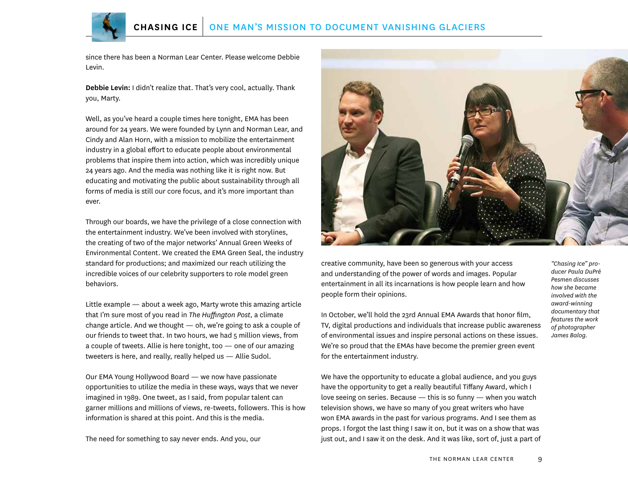since there has been a Norman Lear Center. Please welcome Debbie Levin.

**Debbie Levin:** I didn't realize that. That's very cool, actually. Thank you, Marty.

Well, as you've heard a couple times here tonight, EMA has been around for 24 years. We were founded by Lynn and Norman Lear, and Cindy and Alan Horn, with a mission to mobilize the entertainment industry in a global effort to educate people about environmental problems that inspire them into action, which was incredibly unique 24 years ago. And the media was nothing like it is right now. But educating and motivating the public about sustainability through all forms of media is still our core focus, and it's more important than ever.

Through our boards, we have the privilege of a close connection with the entertainment industry. We've been involved with storylines, the creating of two of the major networks' Annual Green Weeks of Environmental Content. We created the EMA Green Seal, the industry standard for productions; and maximized our reach utilizing the incredible voices of our celebrity supporters to role model green behaviors.

Little example — about a week ago, Marty wrote this amazing article that I'm sure most of you read in *The Huffington Post*, a climate change article. And we thought — oh, we're going to ask a couple of our friends to tweet that. In two hours, we had 5 million views, from a couple of tweets. Allie is here tonight, too — one of our amazing tweeters is here, and really, really helped us — Allie Sudol.

Our EMA Young Hollywood Board — we now have passionate opportunities to utilize the media in these ways, ways that we never imagined in 1989. One tweet, as I said, from popular talent can garner millions and millions of views, re-tweets, followers. This is how information is shared at this point. And this is the media.

The need for something to say never ends. And you, our



creative community, have been so generous with your access and understanding of the power of words and images. Popular entertainment in all its incarnations is how people learn and how people form their opinions.

In October, we'll hold the 23rd Annual EMA Awards that honor film, TV, digital productions and individuals that increase public awareness of environmental issues and inspire personal actions on these issues. We're so proud that the EMAs have become the premier green event for the entertainment industry.

*"Chasing Ice" producer Paula DuPré Pesmen discusses how she became involved with the award-winning documentary that features the work of photographer James Balog.*

We have the opportunity to educate a global audience, and you guys have the opportunity to get a really beautiful Tiffany Award, which I love seeing on series. Because — this is so funny — when you watch television shows, we have so many of you great writers who have won EMA awards in the past for various programs. And I see them as props. I forgot the last thing I saw it on, but it was on a show that was just out, and I saw it on the desk. And it was like, sort of, just a part of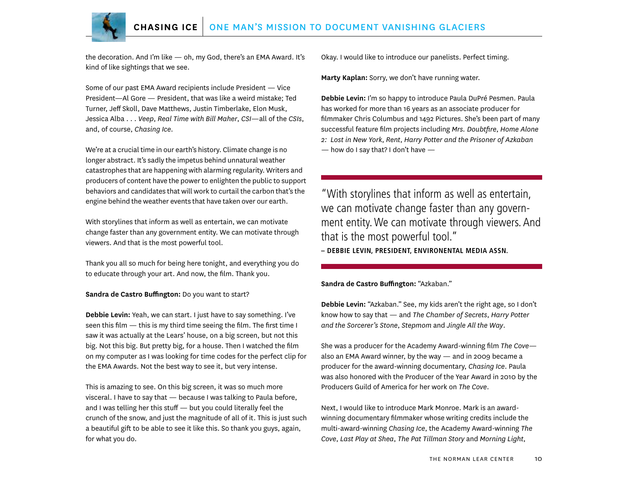

the decoration. And I'm like — oh, my God, there's an EMA Award. It's kind of like sightings that we see.

Some of our past EMA Award recipients include President — Vice President—Al Gore — President, that was like a weird mistake; Ted Turner, Jeff Skoll, Dave Matthews, Justin Timberlake, Elon Musk, Jessica Alba . . . *Veep*, *Real Time with Bill Maher*, *CSI*—all of the *CSIs*, and, of course, *Chasing Ice*.

We're at a crucial time in our earth's history. Climate change is no longer abstract. It's sadly the impetus behind unnatural weather catastrophes that are happening with alarming regularity. Writers and producers of content have the power to enlighten the public to support behaviors and candidates that will work to curtail the carbon that's the engine behind the weather events that have taken over our earth.

With storylines that inform as well as entertain, we can motivate change faster than any government entity. We can motivate through viewers. And that is the most powerful tool.

Thank you all so much for being here tonight, and everything you do to educate through your art. And now, the film. Thank you.

#### **Sandra de Castro Buffington:** Do you want to start?

**Debbie Levin:** Yeah, we can start. I just have to say something. I've seen this film — this is my third time seeing the film. The first time I saw it was actually at the Lears' house, on a big screen, but not this big. Not this big. But pretty big, for a house. Then I watched the film on my computer as I was looking for time codes for the perfect clip for the EMA Awards. Not the best way to see it, but very intense.

This is amazing to see. On this big screen, it was so much more visceral. I have to say that — because I was talking to Paula before, and I was telling her this stuff — but you could literally feel the crunch of the snow, and just the magnitude of all of it. This is just such a beautiful gift to be able to see it like this. So thank you guys, again, for what you do.

Okay. I would like to introduce our panelists. Perfect timing.

**Marty Kaplan:** Sorry, we don't have running water.

**Debbie Levin:** I'm so happy to introduce Paula DuPré Pesmen. Paula has worked for more than 16 years as an associate producer for filmmaker Chris Columbus and 1492 Pictures. She's been part of many successful feature film projects including *Mrs. Doubtfire*, *Home Alone 2: Lost in New York*, *Rent*, *Harry Potter and the Prisoner of Azkaban*  $-$  how do I say that? I don't have  $-$ 

"With storylines that inform as well as entertain, we can motivate change faster than any government entity. We can motivate through viewers. And that is the most powerful tool."

**– DEBBIE LEVIN, PRESIDENT, ENVIRONENTAL MEDIA ASSN.**

**Sandra de Castro Buffington:** "Azkaban."

**Debbie Levin:** "Azkaban." See, my kids aren't the right age, so I don't know how to say that — and *The Chamber of Secrets*, *Harry Potter and the Sorcerer's Stone*, *Stepmom* and *Jingle All the Way*.

She was a producer for the Academy Award-winning film *The Cove* also an EMA Award winner, by the way — and in 2009 became a producer for the award-winning documentary, *Chasing Ice*. Paula was also honored with the Producer of the Year Award in 2010 by the Producers Guild of America for her work on *The Cove*.

Next, I would like to introduce Mark Monroe. Mark is an awardwinning documentary filmmaker whose writing credits include the multi-award-winning *Chasing Ice*, the Academy Award-winning *The Cove*, *Last Play at Shea*, *The Pat Tillman Story* and *Morning Light*,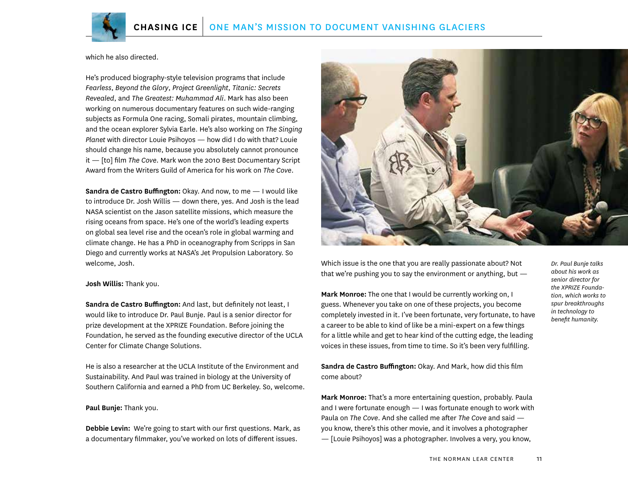

which he also directed.

He's produced biography-style television programs that include *Fearless*, *Beyond the Glory*, *Project Greenlight*, *Titanic: Secrets Revealed*, and *The Greatest: Muhammad Ali*. Mark has also been working on numerous documentary features on such wide-ranging subjects as Formula One racing, Somali pirates, mountain climbing, and the ocean explorer Sylvia Earle. He's also working on *The Singing Planet* with director Louie Psihoyos — how did I do with that? Louie should change his name, because you absolutely cannot pronounce it — [to] film *The Cove*. Mark won the 2010 Best Documentary Script Award from the Writers Guild of America for his work on *The Cove*.

**Sandra de Castro Buffington:** Okay. And now, to me — I would like to introduce Dr. Josh Willis — down there, yes. And Josh is the lead NASA scientist on the Jason satellite missions, which measure the rising oceans from space. He's one of the world's leading experts on global sea level rise and the ocean's role in global warming and climate change. He has a PhD in oceanography from Scripps in San Diego and currently works at NASA's Jet Propulsion Laboratory. So welcome, Josh.

**Josh Willis:** Thank you.

**Sandra de Castro Buffington:** And last, but definitely not least, I would like to introduce Dr. Paul Bunje. Paul is a senior director for prize development at the XPRIZE Foundation. Before joining the Foundation, he served as the founding executive director of the UCLA Center for Climate Change Solutions.

He is also a researcher at the UCLA Institute of the Environment and Sustainability. And Paul was trained in biology at the University of Southern California and earned a PhD from UC Berkeley. So, welcome.

#### **Paul Bunje:** Thank you.

**Debbie Levin:** We're going to start with our first questions. Mark, as a documentary filmmaker, you've worked on lots of different issues.



Which issue is the one that you are really passionate about? Not that we're pushing you to say the environment or anything, but —

**Mark Monroe:** The one that I would be currently working on, I guess. Whenever you take on one of these projects, you become completely invested in it. I've been fortunate, very fortunate, to have a career to be able to kind of like be a mini-expert on a few things for a little while and get to hear kind of the cutting edge, the leading voices in these issues, from time to time. So it's been very fulfilling.

*Dr. Paul Bunje talks about his work as senior director for the XPRIZE Foundation, which works to spur breakthroughs in technology to benefit humanity.*

**Sandra de Castro Buffington:** Okay. And Mark, how did this film come about?

**Mark Monroe:** That's a more entertaining question, probably. Paula and I were fortunate enough — I was fortunate enough to work with Paula on *The Cove*. And she called me after *The Cove* and said you know, there's this other movie, and it involves a photographer — [Louie Psihoyos] was a photographer. Involves a very, you know,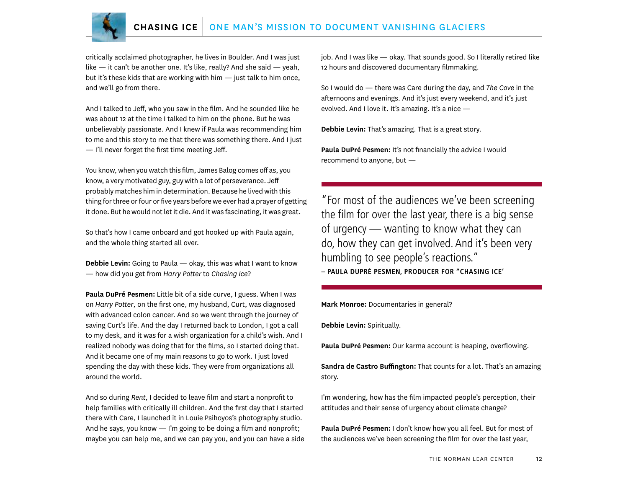

critically acclaimed photographer, he lives in Boulder. And I was just like — it can't be another one. It's like, really? And she said — yeah, but it's these kids that are working with him — just talk to him once, and we'll go from there.

And I talked to Jeff, who you saw in the film. And he sounded like he was about 12 at the time I talked to him on the phone. But he was unbelievably passionate. And I knew if Paula was recommending him to me and this story to me that there was something there. And I just — I'll never forget the first time meeting Jeff.

You know, when you watch this film, James Balog comes off as, you know, a very motivated guy, guy with a lot of perseverance. Jeff probably matches him in determination. Because he lived with this thing for three or four or five years before we ever had a prayer of getting it done. But he would not let it die. And it was fascinating, it was great.

So that's how I came onboard and got hooked up with Paula again, and the whole thing started all over.

**Debbie Levin:** Going to Paula — okay, this was what I want to know — how did you get from *Harry Potter* to *Chasing Ice*?

**Paula DuPré Pesmen:** Little bit of a side curve, I guess. When I was on *Harry Potter*, on the first one, my husband, Curt, was diagnosed with advanced colon cancer. And so we went through the journey of saving Curt's life. And the day I returned back to London, I got a call to my desk, and it was for a wish organization for a child's wish. And I realized nobody was doing that for the films, so I started doing that. And it became one of my main reasons to go to work. I just loved spending the day with these kids. They were from organizations all around the world.

And so during *Rent*, I decided to leave film and start a nonprofit to help families with critically ill children. And the first day that I started there with Care, I launched it in Louie Psihoyos's photography studio. And he says, you know — I'm going to be doing a film and nonprofit; maybe you can help me, and we can pay you, and you can have a side job. And I was like — okay. That sounds good. So I literally retired like 12 hours and discovered documentary filmmaking.

So I would do — there was Care during the day, and *The Cove* in the afternoons and evenings. And it's just every weekend, and it's just evolved. And I love it. It's amazing. It's a nice -

**Debbie Levin:** That's amazing. That is a great story.

Paula DuPré Pesmen: It's not financially the advice I would recommend to anyone, but —

"For most of the audiences we've been screening the film for over the last year, there is a big sense of urgency — wanting to know what they can do, how they can get involved. And it's been very humbling to see people's reactions." **– PAULA DUPRÉ PESMEN, PRODUCER FOR "CHASING ICE'**

**Mark Monroe:** Documentaries in general?

**Debbie Levin:** Spiritually.

**Paula DuPré Pesmen:** Our karma account is heaping, overflowing.

**Sandra de Castro Buffington:** That counts for a lot. That's an amazing story.

I'm wondering, how has the film impacted people's perception, their attitudes and their sense of urgency about climate change?

**Paula DuPré Pesmen:** I don't know how you all feel. But for most of the audiences we've been screening the film for over the last year,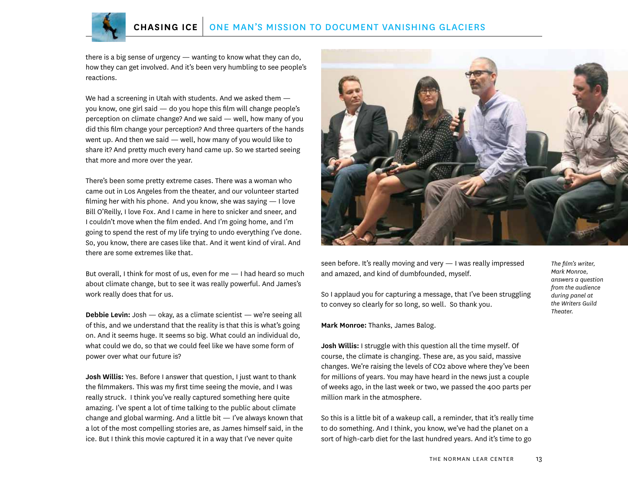

there is a big sense of urgency — wanting to know what they can do, how they can get involved. And it's been very humbling to see people's reactions.

We had a screening in Utah with students. And we asked them you know, one girl said — do you hope this film will change people's perception on climate change? And we said — well, how many of you did this film change your perception? And three quarters of the hands went up. And then we said — well, how many of you would like to share it? And pretty much every hand came up. So we started seeing that more and more over the year.

There's been some pretty extreme cases. There was a woman who came out in Los Angeles from the theater, and our volunteer started filming her with his phone. And you know, she was saying  $-1$  love Bill O'Reilly, I love Fox. And I came in here to snicker and sneer, and I couldn't move when the film ended. And I'm going home, and I'm going to spend the rest of my life trying to undo everything I've done. So, you know, there are cases like that. And it went kind of viral. And there are some extremes like that.

But overall, I think for most of us, even for me — I had heard so much about climate change, but to see it was really powerful. And James's work really does that for us.

**Debbie Levin:** Josh — okay, as a climate scientist — we're seeing all of this, and we understand that the reality is that this is what's going on. And it seems huge. It seems so big. What could an individual do, what could we do, so that we could feel like we have some form of power over what our future is?

**Josh Willis:** Yes. Before I answer that question, I just want to thank the filmmakers. This was my first time seeing the movie, and I was really struck. I think you've really captured something here quite amazing. I've spent a lot of time talking to the public about climate change and global warming. And a little bit — I've always known that a lot of the most compelling stories are, as James himself said, in the ice. But I think this movie captured it in a way that I've never quite



seen before. It's really moving and very — I was really impressed and amazed, and kind of dumbfounded, myself.

So I applaud you for capturing a message, that I've been struggling to convey so clearly for so long, so well. So thank you.

**Mark Monroe:** Thanks, James Balog.

**Josh Willis:** I struggle with this question all the time myself. Of course, the climate is changing. These are, as you said, massive changes. We're raising the levels of CO2 above where they've been for millions of years. You may have heard in the news just a couple of weeks ago, in the last week or two, we passed the 400 parts per million mark in the atmosphere.

So this is a little bit of a wakeup call, a reminder, that it's really time to do something. And I think, you know, we've had the planet on a sort of high-carb diet for the last hundred years. And it's time to go

*The film's writer, Mark Monroe, answers a question from the audience during panel at the Writers Guild Theater.*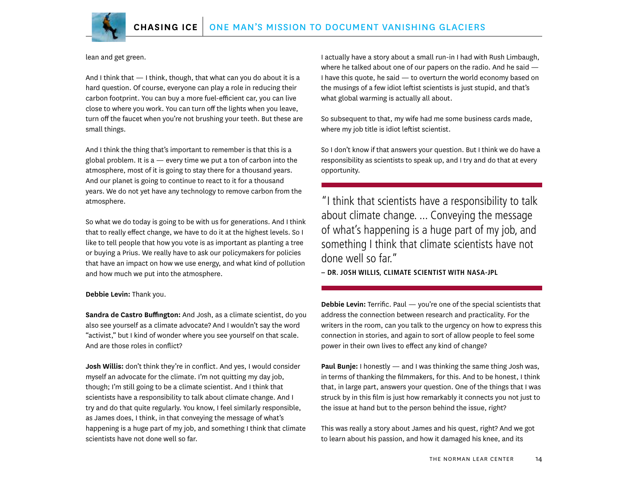

lean and get green.

And I think that — I think, though, that what can you do about it is a hard question. Of course, everyone can play a role in reducing their carbon footprint. You can buy a more fuel-efficient car, you can live close to where you work. You can turn off the lights when you leave, turn off the faucet when you're not brushing your teeth. But these are small things.

And I think the thing that's important to remember is that this is a global problem. It is a  $-$  every time we put a ton of carbon into the atmosphere, most of it is going to stay there for a thousand years. And our planet is going to continue to react to it for a thousand years. We do not yet have any technology to remove carbon from the atmosphere.

So what we do today is going to be with us for generations. And I think that to really effect change, we have to do it at the highest levels. So I like to tell people that how you vote is as important as planting a tree or buying a Prius. We really have to ask our policymakers for policies that have an impact on how we use energy, and what kind of pollution and how much we put into the atmosphere.

**Debbie Levin:** Thank you.

**Sandra de Castro Buffington:** And Josh, as a climate scientist, do you also see yourself as a climate advocate? And I wouldn't say the word "activist," but I kind of wonder where you see yourself on that scale. And are those roles in conflict?

**Josh Willis:** don't think they're in conflict. And yes, I would consider myself an advocate for the climate. I'm not quitting my day job, though; I'm still going to be a climate scientist. And I think that scientists have a responsibility to talk about climate change. And I try and do that quite regularly. You know, I feel similarly responsible, as James does, I think, in that conveying the message of what's happening is a huge part of my job, and something I think that climate scientists have not done well so far.

I actually have a story about a small run-in I had with Rush Limbaugh, where he talked about one of our papers on the radio. And he said — I have this quote, he said — to overturn the world economy based on the musings of a few idiot leftist scientists is just stupid, and that's what global warming is actually all about.

So subsequent to that, my wife had me some business cards made, where my job title is idiot leftist scientist.

So I don't know if that answers your question. But I think we do have a responsibility as scientists to speak up, and I try and do that at every opportunity.

"I think that scientists have a responsibility to talk about climate change. ... Conveying the message of what's happening is a huge part of my job, and something I think that climate scientists have not done well so far."

**– DR. JOSH WILLIS, CLIMATE SCIENTIST WITH NASA-JPL**

**Debbie Levin:** Terrific. Paul — you're one of the special scientists that address the connection between research and practicality. For the writers in the room, can you talk to the urgency on how to express this connection in stories, and again to sort of allow people to feel some power in their own lives to effect any kind of change?

**Paul Bunje:** I honestly — and I was thinking the same thing Josh was, in terms of thanking the filmmakers, for this. And to be honest, I think that, in large part, answers your question. One of the things that I was struck by in this film is just how remarkably it connects you not just to the issue at hand but to the person behind the issue, right?

This was really a story about James and his quest, right? And we got to learn about his passion, and how it damaged his knee, and its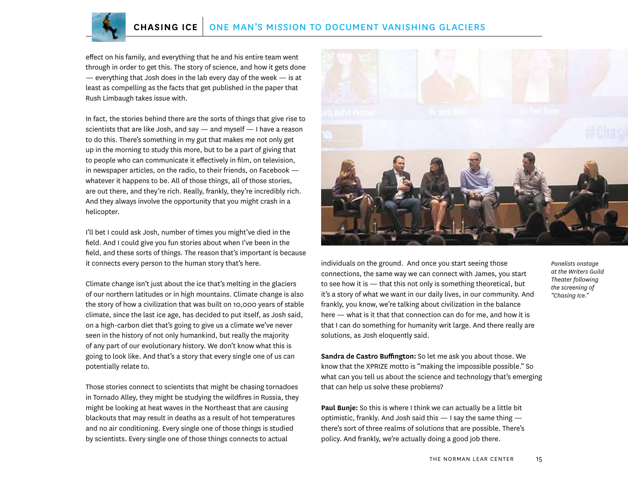effect on his family, and everything that he and his entire team went through in order to get this. The story of science, and how it gets done  $-$  everything that Josh does in the lab every day of the week  $-$  is at least as compelling as the facts that get published in the paper that Rush Limbaugh takes issue with.

In fact, the stories behind there are the sorts of things that give rise to scientists that are like Josh, and say  $-$  and myself  $-$  I have a reason to do this. There's something in my gut that makes me not only get up in the morning to study this more, but to be a part of giving that to people who can communicate it effectively in film, on television, in newspaper articles, on the radio, to their friends, on Facebook whatever it happens to be. All of those things, all of those stories, are out there, and they're rich. Really, frankly, they're incredibly rich. And they always involve the opportunity that you might crash in a helicopter.

I'll bet I could ask Josh, number of times you might've died in the field. And I could give you fun stories about when I've been in the field, and these sorts of things. The reason that's important is because it connects every person to the human story that's here.

Climate change isn't just about the ice that's melting in the glaciers of our northern latitudes or in high mountains. Climate change is also the story of how a civilization that was built on 10,000 years of stable climate, since the last ice age, has decided to put itself, as Josh said, on a high-carbon diet that's going to give us a climate we've never seen in the history of not only humankind, but really the majority of any part of our evolutionary history. We don't know what this is going to look like. And that's a story that every single one of us can potentially relate to.

Those stories connect to scientists that might be chasing tornadoes in Tornado Alley, they might be studying the wildfires in Russia, they might be looking at heat waves in the Northeast that are causing blackouts that may result in deaths as a result of hot temperatures and no air conditioning. Every single one of those things is studied by scientists. Every single one of those things connects to actual



individuals on the ground. And once you start seeing those connections, the same way we can connect with James, you start to see how it is — that this not only is something theoretical, but it's a story of what we want in our daily lives, in our community. And frankly, you know, we're talking about civilization in the balance here — what is it that that connection can do for me, and how it is that I can do something for humanity writ large. And there really are solutions, as Josh eloquently said.

*Panelists onstage at the Writers Guild Theater following the screening of "Chasing Ice."*

**Sandra de Castro Buffington:** So let me ask you about those. We know that the XPRIZE motto is "making the impossible possible." So what can you tell us about the science and technology that's emerging that can help us solve these problems?

**Paul Bunje:** So this is where I think we can actually be a little bit optimistic, frankly. And Josh said this — I say the same thing there's sort of three realms of solutions that are possible. There's policy. And frankly, we're actually doing a good job there.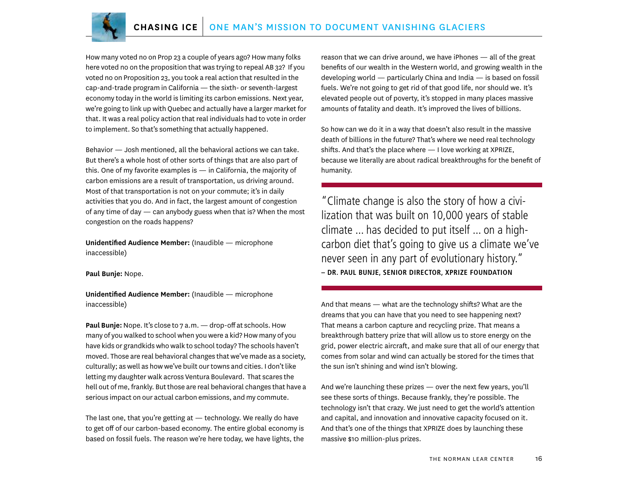

How many voted no on Prop 23 a couple of years ago? How many folks here voted no on the proposition that was trying to repeal AB 32? If you voted no on Proposition 23, you took a real action that resulted in the cap-and-trade program in California — the sixth- or seventh-largest economy today in the world is limiting its carbon emissions. Next year, we're going to link up with Quebec and actually have a larger market for that. It was a real policy action that real individuals had to vote in order to implement. So that's something that actually happened.

Behavior — Josh mentioned, all the behavioral actions we can take. But there's a whole host of other sorts of things that are also part of this. One of my favorite examples is — in California, the majority of carbon emissions are a result of transportation, us driving around. Most of that transportation is not on your commute; it's in daily activities that you do. And in fact, the largest amount of congestion of any time of day — can anybody guess when that is? When the most congestion on the roads happens?

**Unidentified Audience Member:** (Inaudible — microphone inaccessible)

**Paul Bunje:** Nope.

**Unidentified Audience Member:** (Inaudible — microphone inaccessible)

**Paul Bunje:** Nope. It's close to 7 a.m. — drop-off at schools. How many of you walked to school when you were a kid? How many of you have kids or grandkids who walk to school today? The schools haven't moved. Those are real behavioral changes that we've made as a society, culturally; as well as how we've built our towns and cities. I don't like letting my daughter walk across Ventura Boulevard. That scares the hell out of me, frankly. But those are real behavioral changes that have a serious impact on our actual carbon emissions, and my commute.

The last one, that you're getting at — technology. We really do have to get off of our carbon-based economy. The entire global economy is based on fossil fuels. The reason we're here today, we have lights, the reason that we can drive around, we have iPhones — all of the great benefits of our wealth in the Western world, and growing wealth in the developing world — particularly China and India — is based on fossil fuels. We're not going to get rid of that good life, nor should we. It's elevated people out of poverty, it's stopped in many places massive amounts of fatality and death. It's improved the lives of billions.

So how can we do it in a way that doesn't also result in the massive death of billions in the future? That's where we need real technology shifts. And that's the place where — I love working at XPRIZE, because we literally are about radical breakthroughs for the benefit of humanity.

"Climate change is also the story of how a civilization that was built on 10,000 years of stable climate ... has decided to put itself ... on a highcarbon diet that's going to give us a climate we've never seen in any part of evolutionary history." **– DR. PAUL BUNJE, SENIOR DIRECTOR, XPRIZE FOUNDATION**

And that means — what are the technology shifts? What are the dreams that you can have that you need to see happening next? That means a carbon capture and recycling prize. That means a breakthrough battery prize that will allow us to store energy on the grid, power electric aircraft, and make sure that all of our energy that comes from solar and wind can actually be stored for the times that the sun isn't shining and wind isn't blowing.

And we're launching these prizes — over the next few years, you'll see these sorts of things. Because frankly, they're possible. The technology isn't that crazy. We just need to get the world's attention and capital, and innovation and innovative capacity focused on it. And that's one of the things that XPRIZE does by launching these massive \$10 million-plus prizes.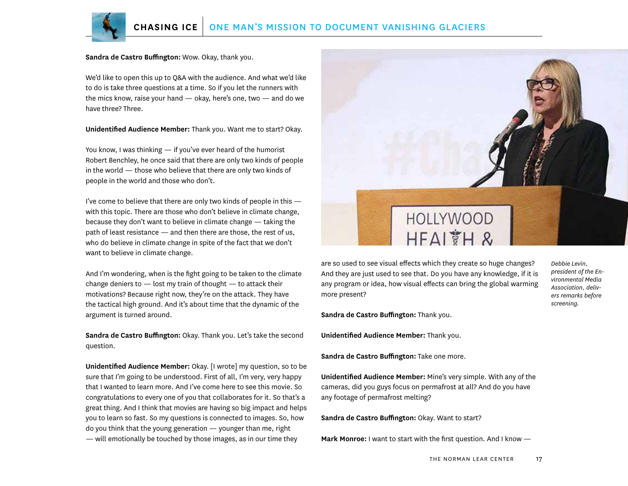

**Sandra de Castro Buffington:** Wow. Okay, thank you.

We'd like to open this up to Q&A with the audience. And what we'd like to do is take three questions at a time. So if you let the runners with the mics know, raise your hand — okay, here's one, two — and do we have three? Three.

**Unidentified Audience Member:** Thank you. Want me to start? Okay.

You know, I was thinking — if you've ever heard of the humorist Robert Benchley, he once said that there are only two kinds of people in the world — those who believe that there are only two kinds of people in the world and those who don't.

I've come to believe that there are only two kinds of people in this with this topic. There are those who don't believe in climate change, because they don't want to believe in climate change — taking the path of least resistance — and then there are those, the rest of us, who do believe in climate change in spite of the fact that we don't want to believe in climate change.

And I'm wondering, when is the fight going to be taken to the climate change deniers to  $-$  lost my train of thought  $-$  to attack their motivations? Because right now, they're on the attack. They have the tactical high ground. And it's about time that the dynamic of the argument is turned around.

**Sandra de Castro Buffington:** Okay. Thank you. Let's take the second question.

**Unidentified Audience Member:** Okay. [I wrote] my question, so to be sure that I'm going to be understood. First of all, I'm very, very happy that I wanted to learn more. And I've come here to see this movie. So congratulations to every one of you that collaborates for it. So that's a great thing. And I think that movies are having so big impact and helps you to learn so fast. So my questions is connected to images. So, how do you think that the young generation — younger than me, right — will emotionally be touched by those images, as in our time they



are so used to see visual effects which they create so huge changes? And they are just used to see that. Do you have any knowledge, if it is any program or idea, how visual effects can bring the global warming more present?

**Sandra de Castro Buffington:** Thank you.

**Unidentified Audience Member:** Thank you.

**Sandra de Castro Buffington:** Take one more.

**Unidentified Audience Member:** Mine's very simple. With any of the cameras, did you guys focus on permafrost at all? And do you have any footage of permafrost melting?

**Sandra de Castro Buffington:** Okay. Want to start?

**Mark Monroe:** I want to start with the first question. And I know —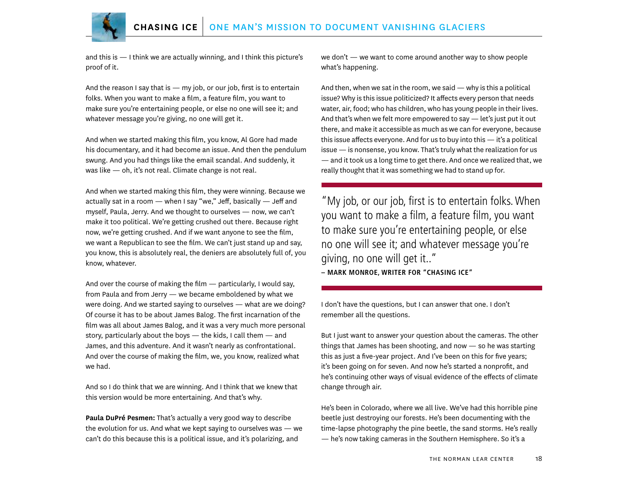

and this is — I think we are actually winning, and I think this picture's proof of it.

And the reason I say that is  $-$  my job, or our job, first is to entertain folks. When you want to make a film, a feature film, you want to make sure you're entertaining people, or else no one will see it; and whatever message you're giving, no one will get it.

And when we started making this film, you know, Al Gore had made his documentary, and it had become an issue. And then the pendulum swung. And you had things like the email scandal. And suddenly, it was like — oh, it's not real. Climate change is not real.

And when we started making this film, they were winning. Because we actually sat in a room — when I say "we," Jeff, basically — Jeff and myself, Paula, Jerry. And we thought to ourselves — now, we can't make it too political. We're getting crushed out there. Because right now, we're getting crushed. And if we want anyone to see the film, we want a Republican to see the film. We can't just stand up and say, you know, this is absolutely real, the deniers are absolutely full of, you know, whatever.

And over the course of making the film — particularly, I would say, from Paula and from Jerry — we became emboldened by what we were doing. And we started saying to ourselves — what are we doing? Of course it has to be about James Balog. The first incarnation of the film was all about James Balog, and it was a very much more personal story, particularly about the boys — the kids, I call them — and James, and this adventure. And it wasn't nearly as confrontational. And over the course of making the film, we, you know, realized what we had.

And so I do think that we are winning. And I think that we knew that this version would be more entertaining. And that's why.

**Paula DuPré Pesmen:** That's actually a very good way to describe the evolution for us. And what we kept saying to ourselves was — we can't do this because this is a political issue, and it's polarizing, and

we don't — we want to come around another way to show people what's happening.

And then, when we sat in the room, we said  $-$  why is this a political issue? Why is this issue politicized? It affects every person that needs water, air, food; who has children, who has young people in their lives. And that's when we felt more empowered to say — let's just put it out there, and make it accessible as much as we can for everyone, because this issue affects everyone. And for us to buy into this — it's a political issue — is nonsense, you know. That's truly what the realization for us — and it took us a long time to get there. And once we realized that, we really thought that it was something we had to stand up for.

"My job, or our job, first is to entertain folks. When you want to make a film, a feature film, you want to make sure you're entertaining people, or else no one will see it; and whatever message you're giving, no one will get it.." **– MARK MONROE, WRITER FOR "CHASING ICE"**

I don't have the questions, but I can answer that one. I don't remember all the questions.

But I just want to answer your question about the cameras. The other things that James has been shooting, and now — so he was starting this as just a five-year project. And I've been on this for five years; it's been going on for seven. And now he's started a nonprofit, and he's continuing other ways of visual evidence of the effects of climate change through air.

He's been in Colorado, where we all live. We've had this horrible pine beetle just destroying our forests. He's been documenting with the time-lapse photography the pine beetle, the sand storms. He's really — he's now taking cameras in the Southern Hemisphere. So it's a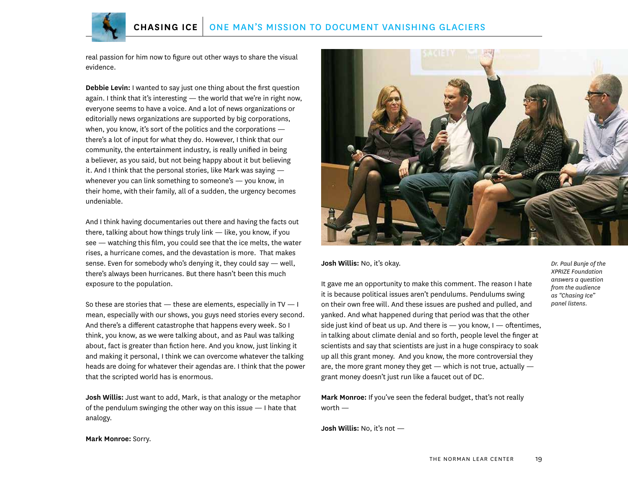

real passion for him now to figure out other ways to share the visual evidence.

**Debbie Levin:** I wanted to say just one thing about the first question again. I think that it's interesting — the world that we're in right now, everyone seems to have a voice. And a lot of news organizations or editorially news organizations are supported by big corporations, when, you know, it's sort of the politics and the corporations there's a lot of input for what they do. However, I think that our community, the entertainment industry, is really unified in being a believer, as you said, but not being happy about it but believing it. And I think that the personal stories, like Mark was saying whenever you can link something to someone's — you know, in their home, with their family, all of a sudden, the urgency becomes undeniable.

And I think having documentaries out there and having the facts out there, talking about how things truly link — like, you know, if you see — watching this film, you could see that the ice melts, the water rises, a hurricane comes, and the devastation is more. That makes sense. Even for somebody who's denying it, they could say — well, there's always been hurricanes. But there hasn't been this much exposure to the population.

So these are stories that  $-$  these are elements, especially in TV  $-$  I mean, especially with our shows, you guys need stories every second. And there's a different catastrophe that happens every week. So I think, you know, as we were talking about, and as Paul was talking about, fact is greater than fiction here. And you know, just linking it and making it personal, I think we can overcome whatever the talking heads are doing for whatever their agendas are. I think that the power that the scripted world has is enormous.

**Josh Willis:** Just want to add, Mark, is that analogy or the metaphor of the pendulum swinging the other way on this issue — I hate that analogy.



**Josh Willis:** No, it's okay.

It gave me an opportunity to make this comment. The reason I hate it is because political issues aren't pendulums. Pendulums swing on their own free will. And these issues are pushed and pulled, and yanked. And what happened during that period was that the other side just kind of beat us up. And there is  $-$  you know, I  $-$  oftentimes, in talking about climate denial and so forth, people level the finger at scientists and say that scientists are just in a huge conspiracy to soak up all this grant money. And you know, the more controversial they are, the more grant money they get  $-$  which is not true, actually  $$ grant money doesn't just run like a faucet out of DC.

**Mark Monroe:** If you've seen the federal budget, that's not really worth —

**Josh Willis:** No, it's not —

*Dr. Paul Bunje of the XPRIZE Foundation answers a question from the audience as "Chasing Ice" panel listens.*

**Mark Monroe:** Sorry.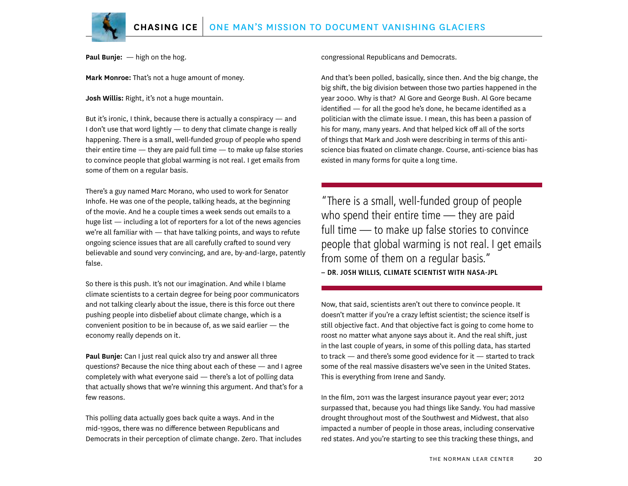

**Paul Bunje:** — high on the hog.

**Mark Monroe:** That's not a huge amount of money.

**Josh Willis:** Right, it's not a huge mountain.

But it's ironic, I think, because there is actually a conspiracy — and I don't use that word lightly — to deny that climate change is really happening. There is a small, well-funded group of people who spend their entire time  $-$  they are paid full time  $-$  to make up false stories to convince people that global warming is not real. I get emails from some of them on a regular basis.

There's a guy named Marc Morano, who used to work for Senator Inhofe. He was one of the people, talking heads, at the beginning of the movie. And he a couple times a week sends out emails to a huge list — including a lot of reporters for a lot of the news agencies we're all familiar with — that have talking points, and ways to refute ongoing science issues that are all carefully crafted to sound very believable and sound very convincing, and are, by-and-large, patently false.

So there is this push. It's not our imagination. And while I blame climate scientists to a certain degree for being poor communicators and not talking clearly about the issue, there is this force out there pushing people into disbelief about climate change, which is a convenient position to be in because of, as we said earlier — the economy really depends on it.

**Paul Bunje:** Can I just real quick also try and answer all three questions? Because the nice thing about each of these — and I agree completely with what everyone said — there's a lot of polling data that actually shows that we're winning this argument. And that's for a few reasons.

This polling data actually goes back quite a ways. And in the mid-1990s, there was no difference between Republicans and Democrats in their perception of climate change. Zero. That includes congressional Republicans and Democrats.

And that's been polled, basically, since then. And the big change, the big shift, the big division between those two parties happened in the year 2000. Why is that? Al Gore and George Bush. Al Gore became identified — for all the good he's done, he became identified as a politician with the climate issue. I mean, this has been a passion of his for many, many years. And that helped kick off all of the sorts of things that Mark and Josh were describing in terms of this antiscience bias fixated on climate change. Course, anti-science bias has existed in many forms for quite a long time.

"There is a small, well-funded group of people who spend their entire time — they are paid full time — to make up false stories to convince people that global warming is not real. I get emails from some of them on a regular basis." **– DR. JOSH WILLIS, CLIMATE SCIENTIST WITH NASA-JPL**

Now, that said, scientists aren't out there to convince people. It doesn't matter if you're a crazy leftist scientist; the science itself is still objective fact. And that objective fact is going to come home to roost no matter what anyone says about it. And the real shift, just in the last couple of years, in some of this polling data, has started to track — and there's some good evidence for it — started to track some of the real massive disasters we've seen in the United States. This is everything from Irene and Sandy.

In the film, 2011 was the largest insurance payout year ever; 2012 surpassed that, because you had things like Sandy. You had massive drought throughout most of the Southwest and Midwest, that also impacted a number of people in those areas, including conservative red states. And you're starting to see this tracking these things, and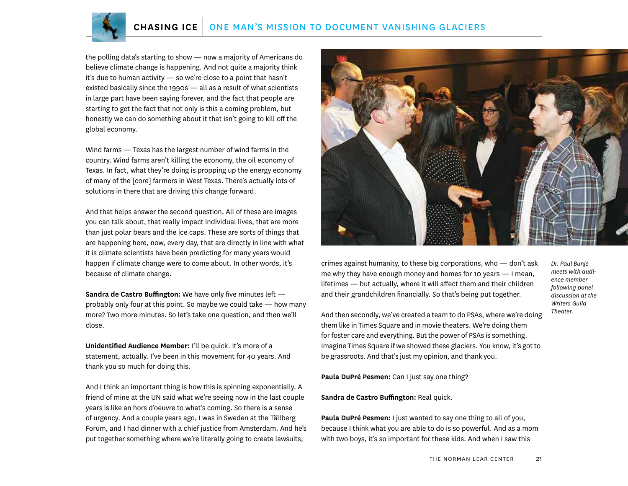

the polling data's starting to show — now a majority of Americans do believe climate change is happening. And not quite a majority think it's due to human activity — so we're close to a point that hasn't existed basically since the 1990s — all as a result of what scientists in large part have been saying forever, and the fact that people are starting to get the fact that not only is this a coming problem, but honestly we can do something about it that isn't going to kill off the global economy.

Wind farms — Texas has the largest number of wind farms in the country. Wind farms aren't killing the economy, the oil economy of Texas. In fact, what they're doing is propping up the energy economy of many of the [core] farmers in West Texas. There's actually lots of solutions in there that are driving this change forward.

And that helps answer the second question. All of these are images you can talk about, that really impact individual lives, that are more than just polar bears and the ice caps. These are sorts of things that are happening here, now, every day, that are directly in line with what it is climate scientists have been predicting for many years would happen if climate change were to come about. In other words, it's because of climate change.

**Sandra de Castro Buffington:** We have only five minutes left probably only four at this point. So maybe we could take — how many more? Two more minutes. So let's take one question, and then we'll close.

**Unidentified Audience Member:** I'll be quick. It's more of a statement, actually. I've been in this movement for 40 years. And thank you so much for doing this.

And I think an important thing is how this is spinning exponentially. A friend of mine at the UN said what we're seeing now in the last couple years is like an hors d'oeuvre to what's coming. So there is a sense of urgency. And a couple years ago, I was in Sweden at the Tällberg Forum, and I had dinner with a chief justice from Amsterdam. And he's put together something where we're literally going to create lawsuits,



crimes against humanity, to these big corporations, who — don't ask me why they have enough money and homes for 10 years — I mean, lifetimes — but actually, where it will affect them and their children and their grandchildren financially. So that's being put together.

*Dr. Paul Bunje meets with audience member following panel discussion at the Writers Guild Theater.*

And then secondly, we've created a team to do PSAs, where we're doing them like in Times Square and in movie theaters. We're doing them for foster care and everything. But the power of PSAs is something. Imagine Times Square if we showed these glaciers. You know, it's got to be grassroots. And that's just my opinion, and thank you.

**Paula DuPré Pesmen:** Can I just say one thing?

**Sandra de Castro Buffington:** Real quick.

**Paula DuPré Pesmen:** I just wanted to say one thing to all of you, because I think what you are able to do is so powerful. And as a mom with two boys, it's so important for these kids. And when I saw this